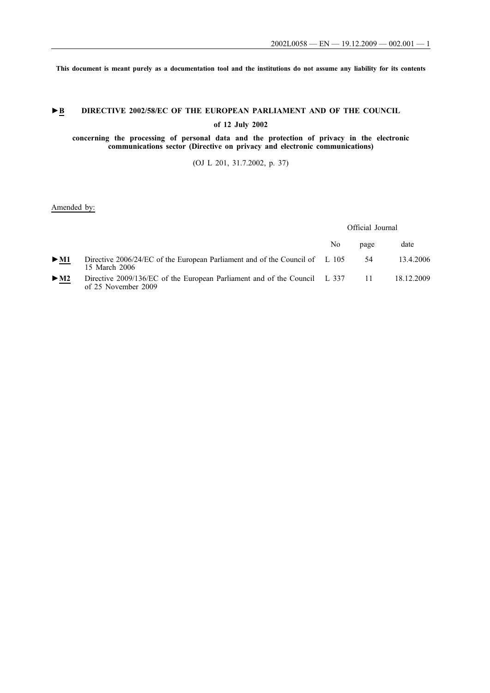**This document is meant purely as a documentation tool and the institutions do not assume any liability for its contents**

# ►**B** DIRECTIVE 2002/58/EC OF THE EUROPEAN PARLIAMENT AND OF THE COUNCIL **of 12 July 2002**

**concerning the processing of personal data and the protection of privacy in the electronic communications sector (Directive on privacy and electronic communications)**

(OJ L 201, 31.7.2002, p. 37)

#### Amended by:

## Official Journal

|        |                                                                                                  | No. | page | date       |
|--------|--------------------------------------------------------------------------------------------------|-----|------|------------|
| $>$ M1 | Directive $2006/24/EC$ of the European Parliament and of the Council of L 105<br>15 March 2006   |     | -54  | 13.4.2006  |
| $>$ M2 | Directive 2009/136/EC of the European Parliament and of the Council L 337<br>of 25 November 2009 |     |      | 18.12.2009 |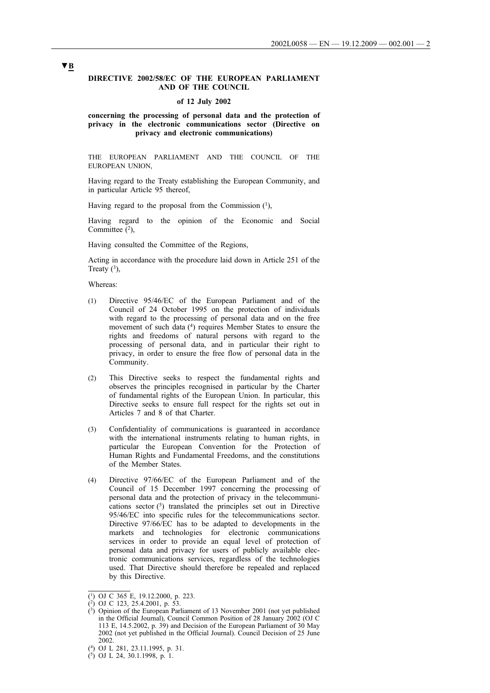#### **DIRECTIVE 2002/58/EC OF THE EUROPEAN PARLIAMENT AND OF THE COUNCIL**

#### **of 12 July 2002**

#### **concerning the processing of personal data and the protection of privacy in the electronic communications sector (Directive on privacy and electronic communications)**

THE EUROPEAN PARLIAMENT AND THE COUNCIL OF THE EUROPEAN UNION,

Having regard to the Treaty establishing the European Community, and in particular Article 95 thereof,

Having regard to the proposal from the Commission  $(1)$ ,

Having regard to the opinion of the Economic and Social Committee  $\tilde{(^{2})}$ ,

Having consulted the Committee of the Regions,

Acting in accordance with the procedure laid down in Article 251 of the Treaty  $(3)$ ,

#### Whereas:

- (1) Directive 95/46/EC of the European Parliament and of the Council of 24 October 1995 on the protection of individuals with regard to the processing of personal data and on the free movement of such data (4) requires Member States to ensure the rights and freedoms of natural persons with regard to the processing of personal data, and in particular their right to privacy, in order to ensure the free flow of personal data in the Community.
- (2) This Directive seeks to respect the fundamental rights and observes the principles recognised in particular by the Charter of fundamental rights of the European Union. In particular, this Directive seeks to ensure full respect for the rights set out in Articles 7 and 8 of that Charter.
- (3) Confidentiality of communications is guaranteed in accordance with the international instruments relating to human rights, in particular the European Convention for the Protection of Human Rights and Fundamental Freedoms, and the constitutions of the Member States.
- (4) Directive 97/66/EC of the European Parliament and of the Council of 15 December 1997 concerning the processing of personal data and the protection of privacy in the telecommunications sector  $(5)$  translated the principles set out in Directive 95/46/EC into specific rules for the telecommunications sector. Directive 97/66/EC has to be adapted to developments in the markets and technologies for electronic communications services in order to provide an equal level of protection of personal data and privacy for users of publicly available electronic communications services, regardless of the technologies used. That Directive should therefore be repealed and replaced by this Directive.

<sup>(1)</sup> OJ C 365 E, 19.12.2000, p. 223.

<sup>(2)</sup> OJ C 123, 25.4.2001, p. 53.

<sup>(3)</sup> Opinion of the European Parliament of 13 November 2001 (not yet published in the Official Journal), Council Common Position of 28 January 2002 (OJ C 113 E, 14.5.2002, p. 39) and Decision of the European Parliament of 30 May 2002 (not yet published in the Official Journal). Council Decision of 25 June 2002.

<sup>(4)</sup> OJ L 281, 23.11.1995, p. 31.

<sup>(5)</sup> OJ L 24, 30.1.1998, p. 1.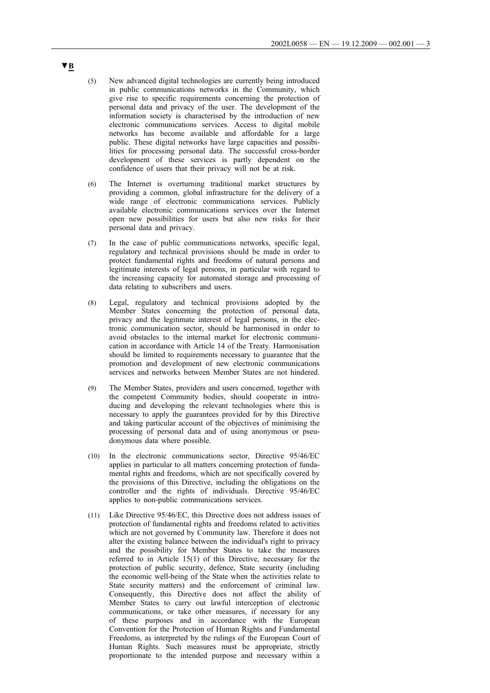- (5) New advanced digital technologies are currently being introduced in public communications networks in the Community, which give rise to specific requirements concerning the protection of personal data and privacy of the user. The development of the information society is characterised by the introduction of new electronic communications services. Access to digital mobile networks has become available and affordable for a large public. These digital networks have large capacities and possibilities for processing personal data. The successful cross-border development of these services is partly dependent on the confidence of users that their privacy will not be at risk.
- (6) The Internet is overturning traditional market structures by providing a common, global infrastructure for the delivery of a wide range of electronic communications services. Publicly available electronic communications services over the Internet open new possibilities for users but also new risks for their personal data and privacy.
- (7) In the case of public communications networks, specific legal, regulatory and technical provisions should be made in order to protect fundamental rights and freedoms of natural persons and legitimate interests of legal persons, in particular with regard to the increasing capacity for automated storage and processing of data relating to subscribers and users.
- (8) Legal, regulatory and technical provisions adopted by the Member States concerning the protection of personal data, privacy and the legitimate interest of legal persons, in the electronic communication sector, should be harmonised in order to avoid obstacles to the internal market for electronic communication in accordance with Article 14 of the Treaty. Harmonisation should be limited to requirements necessary to guarantee that the promotion and development of new electronic communications services and networks between Member States are not hindered.
- (9) The Member States, providers and users concerned, together with the competent Community bodies, should cooperate in introducing and developing the relevant technologies where this is necessary to apply the guarantees provided for by this Directive and taking particular account of the objectives of minimising the processing of personal data and of using anonymous or pseudonymous data where possible.
- (10) In the electronic communications sector, Directive 95/46/EC applies in particular to all matters concerning protection of fundamental rights and freedoms, which are not specifically covered by the provisions of this Directive, including the obligations on the controller and the rights of individuals. Directive 95/46/EC applies to non-public communications services.
- (11) Like Directive 95/46/EC, this Directive does not address issues of protection of fundamental rights and freedoms related to activities which are not governed by Community law. Therefore it does not alter the existing balance between the individual's right to privacy and the possibility for Member States to take the measures referred to in Article 15(1) of this Directive, necessary for the protection of public security, defence, State security (including the economic well-being of the State when the activities relate to State security matters) and the enforcement of criminal law. Consequently, this Directive does not affect the ability of Member States to carry out lawful interception of electronic communications, or take other measures, if necessary for any of these purposes and in accordance with the European Convention for the Protection of Human Rights and Fundamental Freedoms, as interpreted by the rulings of the European Court of Human Rights. Such measures must be appropriate, strictly proportionate to the intended purpose and necessary within a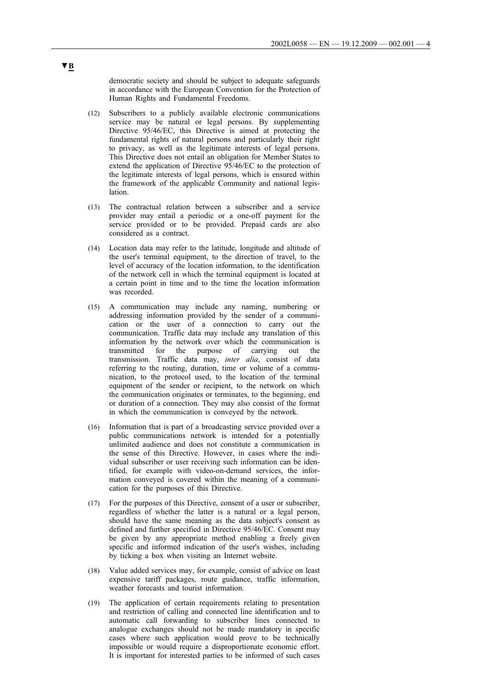democratic society and should be subject to adequate safeguards in accordance with the European Convention for the Protection of Human Rights and Fundamental Freedoms.

- (12) Subscribers to a publicly available electronic communications service may be natural or legal persons. By supplementing Directive 95/46/EC, this Directive is aimed at protecting the fundamental rights of natural persons and particularly their right to privacy, as well as the legitimate interests of legal persons. This Directive does not entail an obligation for Member States to extend the application of Directive 95/46/EC to the protection of the legitimate interests of legal persons, which is ensured within the framework of the applicable Community and national legislation.
- (13) The contractual relation between a subscriber and a service provider may entail a periodic or a one-off payment for the service provided or to be provided. Prepaid cards are also considered as a contract.
- (14) Location data may refer to the latitude, longitude and altitude of the user's terminal equipment, to the direction of travel, to the level of accuracy of the location information, to the identification of the network cell in which the terminal equipment is located at a certain point in time and to the time the location information was recorded.
- (15) A communication may include any naming, numbering or addressing information provided by the sender of a communication or the user of a connection to carry out the communication. Traffic data may include any translation of this information by the network over which the communication is transmitted for the purpose of carrying out the transmission. Traffic data may, *inter alia*, consist of data referring to the routing, duration, time or volume of a communication, to the protocol used, to the location of the terminal equipment of the sender or recipient, to the network on which the communication originates or terminates, to the beginning, end or duration of a connection. They may also consist of the format in which the communication is conveyed by the network.
- (16) Information that is part of a broadcasting service provided over a public communications network is intended for a potentially unlimited audience and does not constitute a communication in the sense of this Directive. However, in cases where the individual subscriber or user receiving such information can be identified, for example with video-on-demand services, the information conveyed is covered within the meaning of a communication for the purposes of this Directive.
- (17) For the purposes of this Directive, consent of a user or subscriber, regardless of whether the latter is a natural or a legal person, should have the same meaning as the data subject's consent as defined and further specified in Directive 95/46/EC. Consent may be given by any appropriate method enabling a freely given specific and informed indication of the user's wishes, including by ticking a box when visiting an Internet website.
- (18) Value added services may, for example, consist of advice on least expensive tariff packages, route guidance, traffic information, weather forecasts and tourist information.
- (19) The application of certain requirements relating to presentation and restriction of calling and connected line identification and to automatic call forwarding to subscriber lines connected to analogue exchanges should not be made mandatory in specific cases where such application would prove to be technically impossible or would require a disproportionate economic effort. It is important for interested parties to be informed of such cases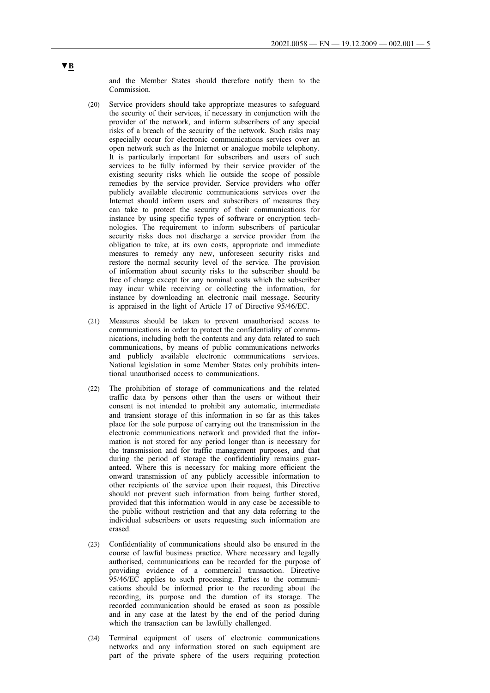and the Member States should therefore notify them to the Commission.

- (20) Service providers should take appropriate measures to safeguard the security of their services, if necessary in conjunction with the provider of the network, and inform subscribers of any special risks of a breach of the security of the network. Such risks may especially occur for electronic communications services over an open network such as the Internet or analogue mobile telephony. It is particularly important for subscribers and users of such services to be fully informed by their service provider of the existing security risks which lie outside the scope of possible remedies by the service provider. Service providers who offer publicly available electronic communications services over the Internet should inform users and subscribers of measures they can take to protect the security of their communications for instance by using specific types of software or encryption technologies. The requirement to inform subscribers of particular security risks does not discharge a service provider from the obligation to take, at its own costs, appropriate and immediate measures to remedy any new, unforeseen security risks and restore the normal security level of the service. The provision of information about security risks to the subscriber should be free of charge except for any nominal costs which the subscriber may incur while receiving or collecting the information, for instance by downloading an electronic mail message. Security is appraised in the light of Article 17 of Directive 95/46/EC.
- (21) Measures should be taken to prevent unauthorised access to communications in order to protect the confidentiality of communications, including both the contents and any data related to such communications, by means of public communications networks and publicly available electronic communications services. National legislation in some Member States only prohibits intentional unauthorised access to communications.
- (22) The prohibition of storage of communications and the related traffic data by persons other than the users or without their consent is not intended to prohibit any automatic, intermediate and transient storage of this information in so far as this takes place for the sole purpose of carrying out the transmission in the electronic communications network and provided that the information is not stored for any period longer than is necessary for the transmission and for traffic management purposes, and that during the period of storage the confidentiality remains guaranteed. Where this is necessary for making more efficient the onward transmission of any publicly accessible information to other recipients of the service upon their request, this Directive should not prevent such information from being further stored, provided that this information would in any case be accessible to the public without restriction and that any data referring to the individual subscribers or users requesting such information are erased.
- (23) Confidentiality of communications should also be ensured in the course of lawful business practice. Where necessary and legally authorised, communications can be recorded for the purpose of providing evidence of a commercial transaction. Directive 95/46/EC applies to such processing. Parties to the communications should be informed prior to the recording about the recording, its purpose and the duration of its storage. The recorded communication should be erased as soon as possible and in any case at the latest by the end of the period during which the transaction can be lawfully challenged.
- (24) Terminal equipment of users of electronic communications networks and any information stored on such equipment are part of the private sphere of the users requiring protection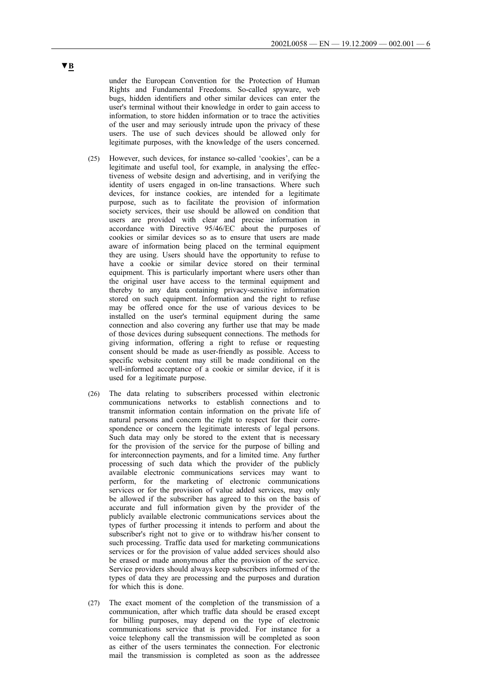under the European Convention for the Protection of Human Rights and Fundamental Freedoms. So-called spyware, web bugs, hidden identifiers and other similar devices can enter the user's terminal without their knowledge in order to gain access to information, to store hidden information or to trace the activities of the user and may seriously intrude upon the privacy of these users. The use of such devices should be allowed only for legitimate purposes, with the knowledge of the users concerned.

- (25) However, such devices, for instance so-called 'cookies', can be a legitimate and useful tool, for example, in analysing the effectiveness of website design and advertising, and in verifying the identity of users engaged in on-line transactions. Where such devices, for instance cookies, are intended for a legitimate purpose, such as to facilitate the provision of information society services, their use should be allowed on condition that users are provided with clear and precise information in accordance with Directive 95/46/EC about the purposes of cookies or similar devices so as to ensure that users are made aware of information being placed on the terminal equipment they are using. Users should have the opportunity to refuse to have a cookie or similar device stored on their terminal equipment. This is particularly important where users other than the original user have access to the terminal equipment and thereby to any data containing privacy-sensitive information stored on such equipment. Information and the right to refuse may be offered once for the use of various devices to be installed on the user's terminal equipment during the same connection and also covering any further use that may be made of those devices during subsequent connections. The methods for giving information, offering a right to refuse or requesting consent should be made as user-friendly as possible. Access to specific website content may still be made conditional on the well-informed acceptance of a cookie or similar device, if it is used for a legitimate purpose.
- (26) The data relating to subscribers processed within electronic communications networks to establish connections and to transmit information contain information on the private life of natural persons and concern the right to respect for their correspondence or concern the legitimate interests of legal persons. Such data may only be stored to the extent that is necessary for the provision of the service for the purpose of billing and for interconnection payments, and for a limited time. Any further processing of such data which the provider of the publicly available electronic communications services may want to perform, for the marketing of electronic communications services or for the provision of value added services, may only be allowed if the subscriber has agreed to this on the basis of accurate and full information given by the provider of the publicly available electronic communications services about the types of further processing it intends to perform and about the subscriber's right not to give or to withdraw his/her consent to such processing. Traffic data used for marketing communications services or for the provision of value added services should also be erased or made anonymous after the provision of the service. Service providers should always keep subscribers informed of the types of data they are processing and the purposes and duration for which this is done.
- (27) The exact moment of the completion of the transmission of a communication, after which traffic data should be erased except for billing purposes, may depend on the type of electronic communications service that is provided. For instance for a voice telephony call the transmission will be completed as soon as either of the users terminates the connection. For electronic mail the transmission is completed as soon as the addressee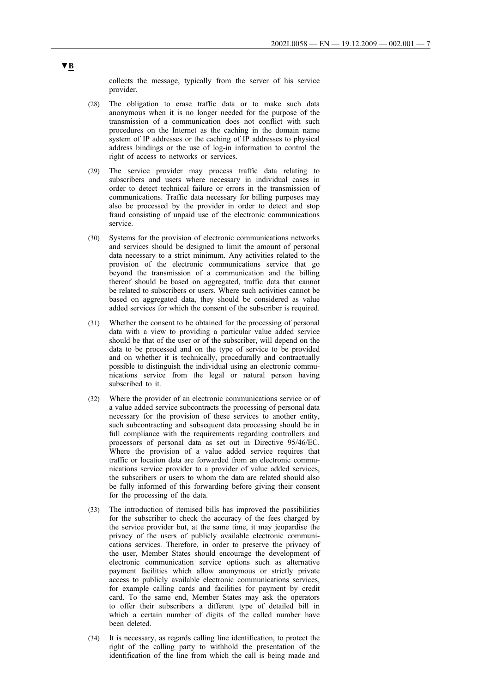collects the message, typically from the server of his service provider.

- (28) The obligation to erase traffic data or to make such data anonymous when it is no longer needed for the purpose of the transmission of a communication does not conflict with such procedures on the Internet as the caching in the domain name system of IP addresses or the caching of IP addresses to physical address bindings or the use of log-in information to control the right of access to networks or services.
- (29) The service provider may process traffic data relating to subscribers and users where necessary in individual cases in order to detect technical failure or errors in the transmission of communications. Traffic data necessary for billing purposes may also be processed by the provider in order to detect and stop fraud consisting of unpaid use of the electronic communications service.
- (30) Systems for the provision of electronic communications networks and services should be designed to limit the amount of personal data necessary to a strict minimum. Any activities related to the provision of the electronic communications service that go beyond the transmission of a communication and the billing thereof should be based on aggregated, traffic data that cannot be related to subscribers or users. Where such activities cannot be based on aggregated data, they should be considered as value added services for which the consent of the subscriber is required.
- (31) Whether the consent to be obtained for the processing of personal data with a view to providing a particular value added service should be that of the user or of the subscriber, will depend on the data to be processed and on the type of service to be provided and on whether it is technically, procedurally and contractually possible to distinguish the individual using an electronic communications service from the legal or natural person having subscribed to it.
- (32) Where the provider of an electronic communications service or of a value added service subcontracts the processing of personal data necessary for the provision of these services to another entity, such subcontracting and subsequent data processing should be in full compliance with the requirements regarding controllers and processors of personal data as set out in Directive 95/46/EC. Where the provision of a value added service requires that traffic or location data are forwarded from an electronic communications service provider to a provider of value added services, the subscribers or users to whom the data are related should also be fully informed of this forwarding before giving their consent for the processing of the data.
- (33) The introduction of itemised bills has improved the possibilities for the subscriber to check the accuracy of the fees charged by the service provider but, at the same time, it may jeopardise the privacy of the users of publicly available electronic communications services. Therefore, in order to preserve the privacy of the user, Member States should encourage the development of electronic communication service options such as alternative payment facilities which allow anonymous or strictly private access to publicly available electronic communications services, for example calling cards and facilities for payment by credit card. To the same end, Member States may ask the operators to offer their subscribers a different type of detailed bill in which a certain number of digits of the called number have been deleted.
- (34) It is necessary, as regards calling line identification, to protect the right of the calling party to withhold the presentation of the identification of the line from which the call is being made and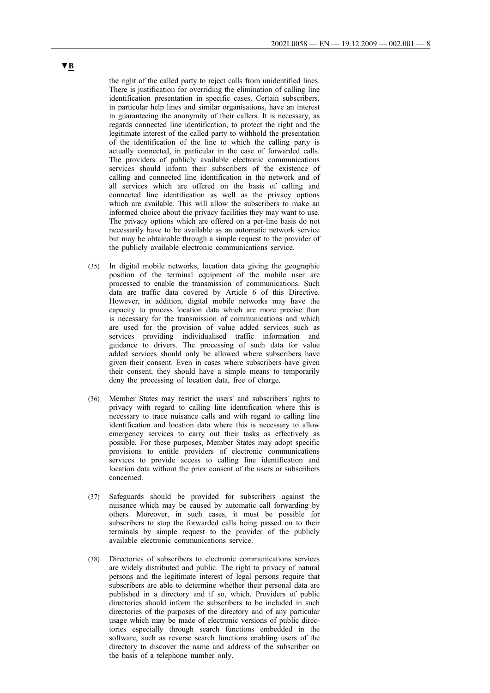the right of the called party to reject calls from unidentified lines. There is justification for overriding the elimination of calling line identification presentation in specific cases. Certain subscribers, in particular help lines and similar organisations, have an interest in guaranteeing the anonymity of their callers. It is necessary, as regards connected line identification, to protect the right and the legitimate interest of the called party to withhold the presentation of the identification of the line to which the calling party is actually connected, in particular in the case of forwarded calls. The providers of publicly available electronic communications services should inform their subscribers of the existence of calling and connected line identification in the network and of all services which are offered on the basis of calling and connected line identification as well as the privacy options which are available. This will allow the subscribers to make an informed choice about the privacy facilities they may want to use. The privacy options which are offered on a per-line basis do not necessarily have to be available as an automatic network service but may be obtainable through a simple request to the provider of the publicly available electronic communications service.

- (35) In digital mobile networks, location data giving the geographic position of the terminal equipment of the mobile user are processed to enable the transmission of communications. Such data are traffic data covered by Article 6 of this Directive. However, in addition, digital mobile networks may have the capacity to process location data which are more precise than is necessary for the transmission of communications and which are used for the provision of value added services such as services providing individualised traffic information and guidance to drivers. The processing of such data for value added services should only be allowed where subscribers have given their consent. Even in cases where subscribers have given their consent, they should have a simple means to temporarily deny the processing of location data, free of charge.
- (36) Member States may restrict the users' and subscribers' rights to privacy with regard to calling line identification where this is necessary to trace nuisance calls and with regard to calling line identification and location data where this is necessary to allow emergency services to carry out their tasks as effectively as possible. For these purposes, Member States may adopt specific provisions to entitle providers of electronic communications services to provide access to calling line identification and location data without the prior consent of the users or subscribers concerned.
- (37) Safeguards should be provided for subscribers against the nuisance which may be caused by automatic call forwarding by others. Moreover, in such cases, it must be possible for subscribers to stop the forwarded calls being passed on to their terminals by simple request to the provider of the publicly available electronic communications service.
- (38) Directories of subscribers to electronic communications services are widely distributed and public. The right to privacy of natural persons and the legitimate interest of legal persons require that subscribers are able to determine whether their personal data are published in a directory and if so, which. Providers of public directories should inform the subscribers to be included in such directories of the purposes of the directory and of any particular usage which may be made of electronic versions of public directories especially through search functions embedded in the software, such as reverse search functions enabling users of the directory to discover the name and address of the subscriber on the basis of a telephone number only.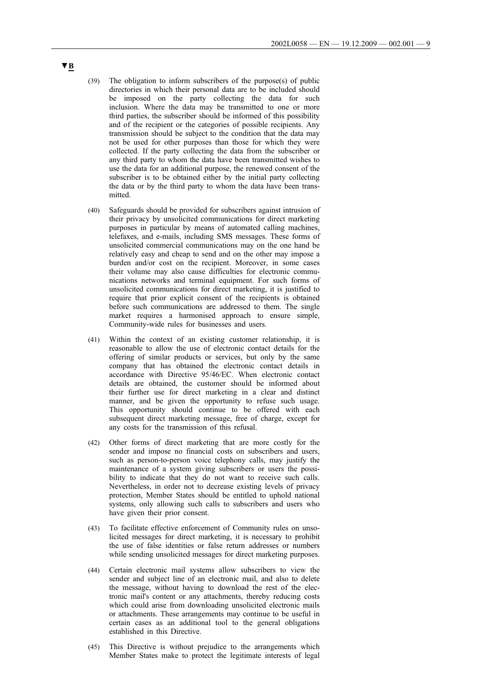- (39) The obligation to inform subscribers of the purpose(s) of public directories in which their personal data are to be included should be imposed on the party collecting the data for such inclusion. Where the data may be transmitted to one or more third parties, the subscriber should be informed of this possibility and of the recipient or the categories of possible recipients. Any transmission should be subject to the condition that the data may not be used for other purposes than those for which they were collected. If the party collecting the data from the subscriber or any third party to whom the data have been transmitted wishes to use the data for an additional purpose, the renewed consent of the subscriber is to be obtained either by the initial party collecting the data or by the third party to whom the data have been transmitted.
- (40) Safeguards should be provided for subscribers against intrusion of their privacy by unsolicited communications for direct marketing purposes in particular by means of automated calling machines, telefaxes, and e-mails, including SMS messages. These forms of unsolicited commercial communications may on the one hand be relatively easy and cheap to send and on the other may impose a burden and/or cost on the recipient. Moreover, in some cases their volume may also cause difficulties for electronic communications networks and terminal equipment. For such forms of unsolicited communications for direct marketing, it is justified to require that prior explicit consent of the recipients is obtained before such communications are addressed to them. The single market requires a harmonised approach to ensure simple, Community-wide rules for businesses and users.
- (41) Within the context of an existing customer relationship, it is reasonable to allow the use of electronic contact details for the offering of similar products or services, but only by the same company that has obtained the electronic contact details in accordance with Directive 95/46/EC. When electronic contact details are obtained, the customer should be informed about their further use for direct marketing in a clear and distinct manner, and be given the opportunity to refuse such usage. This opportunity should continue to be offered with each subsequent direct marketing message, free of charge, except for any costs for the transmission of this refusal.
- (42) Other forms of direct marketing that are more costly for the sender and impose no financial costs on subscribers and users, such as person-to-person voice telephony calls, may justify the maintenance of a system giving subscribers or users the possibility to indicate that they do not want to receive such calls. Nevertheless, in order not to decrease existing levels of privacy protection, Member States should be entitled to uphold national systems, only allowing such calls to subscribers and users who have given their prior consent.
- (43) To facilitate effective enforcement of Community rules on unsolicited messages for direct marketing, it is necessary to prohibit the use of false identities or false return addresses or numbers while sending unsolicited messages for direct marketing purposes.
- (44) Certain electronic mail systems allow subscribers to view the sender and subject line of an electronic mail, and also to delete the message, without having to download the rest of the electronic mail's content or any attachments, thereby reducing costs which could arise from downloading unsolicited electronic mails or attachments. These arrangements may continue to be useful in certain cases as an additional tool to the general obligations established in this Directive.
- (45) This Directive is without prejudice to the arrangements which Member States make to protect the legitimate interests of legal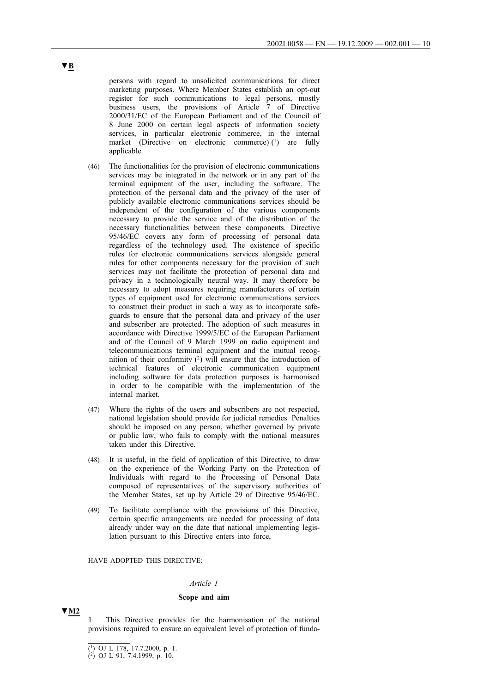persons with regard to unsolicited communications for direct marketing purposes. Where Member States establish an opt-out register for such communications to legal persons, mostly business users, the provisions of Article 7 of Directive 2000/31/EC of the European Parliament and of the Council of 8 June 2000 on certain legal aspects of information society services, in particular electronic commerce, in the internal market (Directive on electronic commerce) (1) are fully applicable.

- (46) The functionalities for the provision of electronic communications services may be integrated in the network or in any part of the terminal equipment of the user, including the software. The protection of the personal data and the privacy of the user of publicly available electronic communications services should be independent of the configuration of the various components necessary to provide the service and of the distribution of the necessary functionalities between these components. Directive 95/46/EC covers any form of processing of personal data regardless of the technology used. The existence of specific rules for electronic communications services alongside general rules for other components necessary for the provision of such services may not facilitate the protection of personal data and privacy in a technologically neutral way. It may therefore be necessary to adopt measures requiring manufacturers of certain types of equipment used for electronic communications services to construct their product in such a way as to incorporate safeguards to ensure that the personal data and privacy of the user and subscriber are protected. The adoption of such measures in accordance with Directive 1999/5/EC of the European Parliament and of the Council of 9 March 1999 on radio equipment and telecommunications terminal equipment and the mutual recognition of their conformity  $(2)$  will ensure that the introduction of technical features of electronic communication equipment including software for data protection purposes is harmonised in order to be compatible with the implementation of the internal market.
- (47) Where the rights of the users and subscribers are not respected, national legislation should provide for judicial remedies. Penalties should be imposed on any person, whether governed by private or public law, who fails to comply with the national measures taken under this Directive.
- (48) It is useful, in the field of application of this Directive, to draw on the experience of the Working Party on the Protection of Individuals with regard to the Processing of Personal Data composed of representatives of the supervisory authorities of the Member States, set up by Article 29 of Directive 95/46/EC.
- (49) To facilitate compliance with the provisions of this Directive, certain specific arrangements are needed for processing of data already under way on the date that national implementing legislation pursuant to this Directive enters into force,

#### HAVE ADOPTED THIS DIRECTIVE:

### *Article 1*

#### **Scope and aim**

### **▼M2**

1. This Directive provides for the harmonisation of the national provisions required to ensure an equivalent level of protection of funda-

<sup>(1)</sup> OJ L 178, 17.7.2000, p. 1.  $(2)$  OJ L 91, 7.4.1999, p. 10.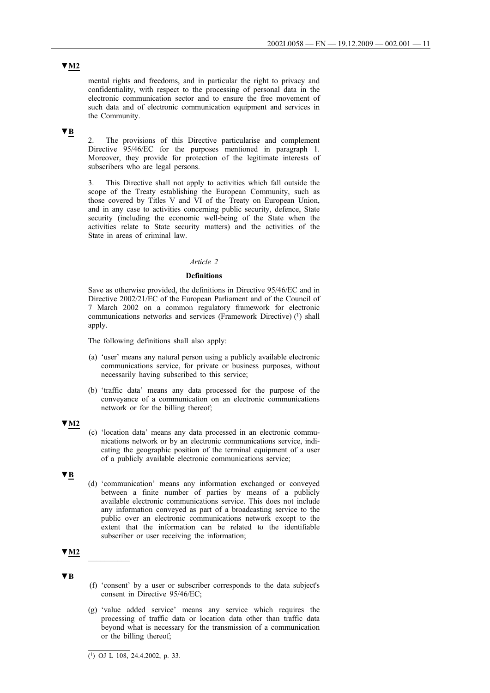mental rights and freedoms, and in particular the right to privacy and confidentiality, with respect to the processing of personal data in the electronic communication sector and to ensure the free movement of such data and of electronic communication equipment and services in the Community.

## **▼B**

2. The provisions of this Directive particularise and complement Directive  $95/46$ /EC for the purposes mentioned in paragraph 1. Moreover, they provide for protection of the legitimate interests of subscribers who are legal persons.

3. This Directive shall not apply to activities which fall outside the scope of the Treaty establishing the European Community, such as those covered by Titles V and VI of the Treaty on European Union, and in any case to activities concerning public security, defence, State security (including the economic well-being of the State when the activities relate to State security matters) and the activities of the State in areas of criminal law.

#### *Article 2*

### **Definitions**

Save as otherwise provided, the definitions in Directive 95/46/EC and in Directive 2002/21/EC of the European Parliament and of the Council of 7 March 2002 on a common regulatory framework for electronic communications networks and services (Framework Directive) (1) shall apply.

The following definitions shall also apply:

- (a) 'user' means any natural person using a publicly available electronic communications service, for private or business purposes, without necessarily having subscribed to this service;
- (b) 'traffic data' means any data processed for the purpose of the conveyance of a communication on an electronic communications network or for the billing thereof;

### **▼M2**

(c) 'location data' means any data processed in an electronic communications network or by an electronic communications service, indicating the geographic position of the terminal equipment of a user of a publicly available electronic communications service;

### **▼B**

(d) 'communication' means any information exchanged or conveyed between a finite number of parties by means of a publicly available electronic communications service. This does not include any information conveyed as part of a broadcasting service to the public over an electronic communications network except to the extent that the information can be related to the identifiable subscriber or user receiving the information;

## **▼M2** \_\_\_\_\_\_\_\_\_\_

#### **▼B**

- (f) 'consent' by a user or subscriber corresponds to the data subject's consent in Directive 95/46/EC;
- (g) 'value added service' means any service which requires the processing of traffic data or location data other than traffic data beyond what is necessary for the transmission of a communication or the billing thereof;

 $\overline{(^1)}$  OJ L 108, 24.4.2002, p. 33.

## **▼M2**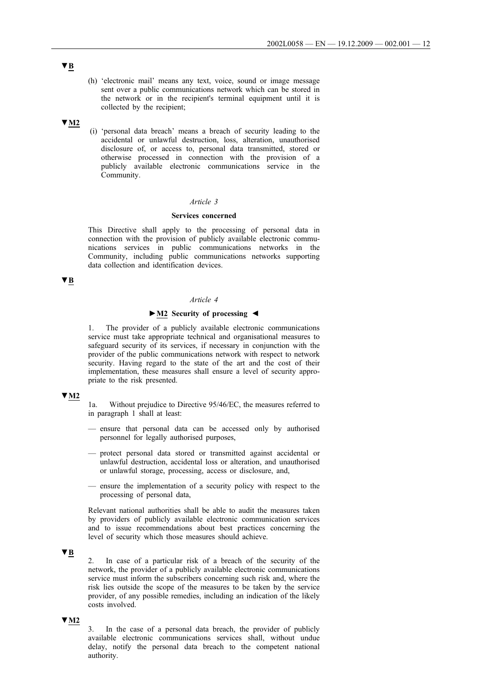(h) 'electronic mail' means any text, voice, sound or image message sent over a public communications network which can be stored in the network or in the recipient's terminal equipment until it is collected by the recipient;

### **▼M2**

(i) 'personal data breach' means a breach of security leading to the accidental or unlawful destruction, loss, alteration, unauthorised disclosure of, or access to, personal data transmitted, stored or otherwise processed in connection with the provision of a publicly available electronic communications service in the Community.

#### *Article 3*

### **Services concerned**

This Directive shall apply to the processing of personal data in connection with the provision of publicly available electronic communications services in public communications networks in the Community, including public communications networks supporting data collection and identification devices.

## **▼B**

#### *Article 4*

#### **►M2 Security of processing ◄**

1. The provider of a publicly available electronic communications service must take appropriate technical and organisational measures to safeguard security of its services, if necessary in conjunction with the provider of the public communications network with respect to network security. Having regard to the state of the art and the cost of their implementation, these measures shall ensure a level of security appropriate to the risk presented.

### **▼M2**

1a. Without prejudice to Directive 95/46/EC, the measures referred to in paragraph 1 shall at least:

- ensure that personal data can be accessed only by authorised personnel for legally authorised purposes,
- protect personal data stored or transmitted against accidental or unlawful destruction, accidental loss or alteration, and unauthorised or unlawful storage, processing, access or disclosure, and,
- ensure the implementation of a security policy with respect to the processing of personal data,

Relevant national authorities shall be able to audit the measures taken by providers of publicly available electronic communication services and to issue recommendations about best practices concerning the level of security which those measures should achieve.

## **▼B**

2. In case of a particular risk of a breach of the security of the network, the provider of a publicly available electronic communications service must inform the subscribers concerning such risk and, where the risk lies outside the scope of the measures to be taken by the service provider, of any possible remedies, including an indication of the likely costs involved.

### **▼M2**

3. In the case of a personal data breach, the provider of publicly available electronic communications services shall, without undue delay, notify the personal data breach to the competent national authority.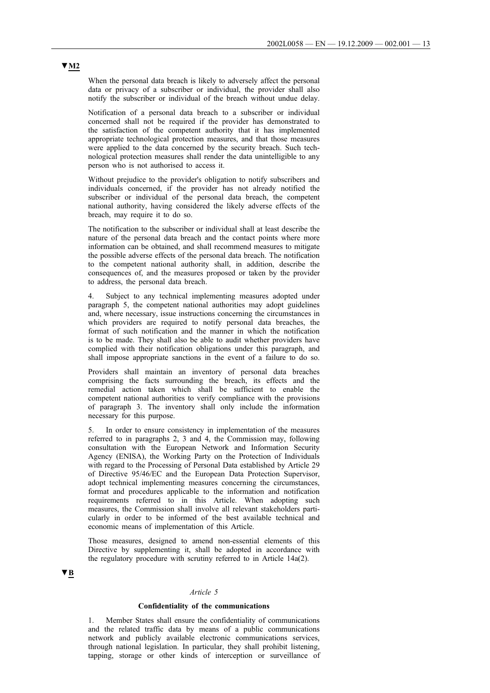When the personal data breach is likely to adversely affect the personal data or privacy of a subscriber or individual, the provider shall also notify the subscriber or individual of the breach without undue delay.

Notification of a personal data breach to a subscriber or individual concerned shall not be required if the provider has demonstrated to the satisfaction of the competent authority that it has implemented appropriate technological protection measures, and that those measures were applied to the data concerned by the security breach. Such technological protection measures shall render the data unintelligible to any person who is not authorised to access it.

Without prejudice to the provider's obligation to notify subscribers and individuals concerned, if the provider has not already notified the subscriber or individual of the personal data breach, the competent national authority, having considered the likely adverse effects of the breach, may require it to do so.

The notification to the subscriber or individual shall at least describe the nature of the personal data breach and the contact points where more information can be obtained, and shall recommend measures to mitigate the possible adverse effects of the personal data breach. The notification to the competent national authority shall, in addition, describe the consequences of, and the measures proposed or taken by the provider to address, the personal data breach.

4. Subject to any technical implementing measures adopted under paragraph 5, the competent national authorities may adopt guidelines and, where necessary, issue instructions concerning the circumstances in which providers are required to notify personal data breaches, the format of such notification and the manner in which the notification is to be made. They shall also be able to audit whether providers have complied with their notification obligations under this paragraph, and shall impose appropriate sanctions in the event of a failure to do so.

Providers shall maintain an inventory of personal data breaches comprising the facts surrounding the breach, its effects and the remedial action taken which shall be sufficient to enable the competent national authorities to verify compliance with the provisions of paragraph 3. The inventory shall only include the information necessary for this purpose.

5. In order to ensure consistency in implementation of the measures referred to in paragraphs 2, 3 and 4, the Commission may, following consultation with the European Network and Information Security Agency (ENISA), the Working Party on the Protection of Individuals with regard to the Processing of Personal Data established by Article 29 of Directive 95/46/EC and the European Data Protection Supervisor, adopt technical implementing measures concerning the circumstances, format and procedures applicable to the information and notification requirements referred to in this Article. When adopting such measures, the Commission shall involve all relevant stakeholders particularly in order to be informed of the best available technical and economic means of implementation of this Article.

Those measures, designed to amend non-essential elements of this Directive by supplementing it, shall be adopted in accordance with the regulatory procedure with scrutiny referred to in Article 14a(2).

### **▼B**

#### *Article 5*

#### **Confidentiality of the communications**

1. Member States shall ensure the confidentiality of communications and the related traffic data by means of a public communications network and publicly available electronic communications services, through national legislation. In particular, they shall prohibit listening, tapping, storage or other kinds of interception or surveillance of

## **▼M2**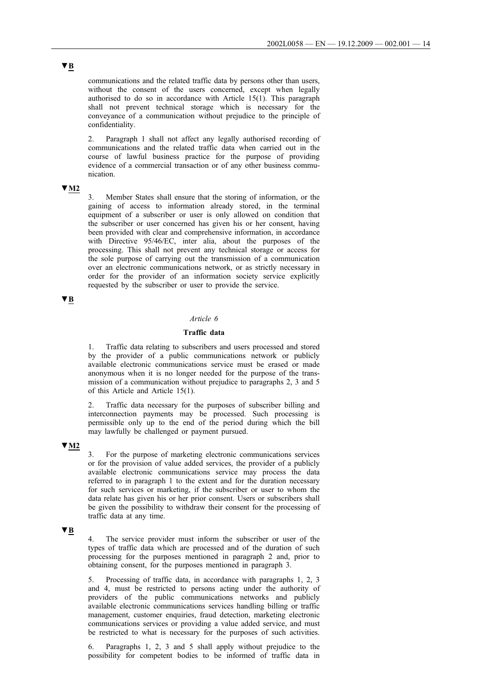communications and the related traffic data by persons other than users, without the consent of the users concerned, except when legally authorised to do so in accordance with Article 15(1). This paragraph shall not prevent technical storage which is necessary for the conveyance of a communication without prejudice to the principle of confidentiality.

2. Paragraph 1 shall not affect any legally authorised recording of communications and the related traffic data when carried out in the course of lawful business practice for the purpose of providing evidence of a commercial transaction or of any other business communication.

### **▼M2**

3. Member States shall ensure that the storing of information, or the gaining of access to information already stored, in the terminal equipment of a subscriber or user is only allowed on condition that the subscriber or user concerned has given his or her consent, having been provided with clear and comprehensive information, in accordance with Directive 95/46/EC, inter alia, about the purposes of the processing. This shall not prevent any technical storage or access for the sole purpose of carrying out the transmission of a communication over an electronic communications network, or as strictly necessary in order for the provider of an information society service explicitly requested by the subscriber or user to provide the service.

### **▼B**

#### *Article 6*

#### **Traffic data**

1. Traffic data relating to subscribers and users processed and stored by the provider of a public communications network or publicly available electronic communications service must be erased or made anonymous when it is no longer needed for the purpose of the transmission of a communication without prejudice to paragraphs 2, 3 and 5 of this Article and Article 15(1).

2. Traffic data necessary for the purposes of subscriber billing and interconnection payments may be processed. Such processing is permissible only up to the end of the period during which the bill may lawfully be challenged or payment pursued.

### **▼M2**

3. For the purpose of marketing electronic communications services or for the provision of value added services, the provider of a publicly available electronic communications service may process the data referred to in paragraph 1 to the extent and for the duration necessary for such services or marketing, if the subscriber or user to whom the data relate has given his or her prior consent. Users or subscribers shall be given the possibility to withdraw their consent for the processing of traffic data at any time.

### **▼B**

The service provider must inform the subscriber or user of the types of traffic data which are processed and of the duration of such processing for the purposes mentioned in paragraph 2 and, prior to obtaining consent, for the purposes mentioned in paragraph 3.

5. Processing of traffic data, in accordance with paragraphs 1, 2, 3 and 4, must be restricted to persons acting under the authority of providers of the public communications networks and publicly available electronic communications services handling billing or traffic management, customer enquiries, fraud detection, marketing electronic communications services or providing a value added service, and must be restricted to what is necessary for the purposes of such activities.

Paragraphs 1, 2, 3 and 5 shall apply without prejudice to the possibility for competent bodies to be informed of traffic data in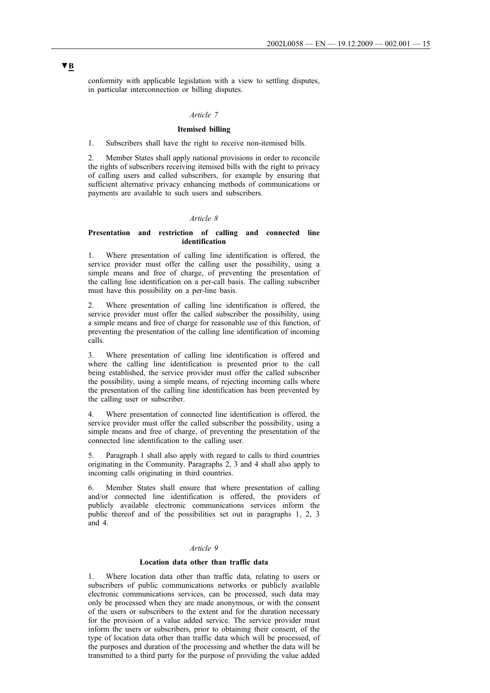conformity with applicable legislation with a view to settling disputes, in particular interconnection or billing disputes.

#### *Article 7*

#### **Itemised billing**

1. Subscribers shall have the right to receive non-itemised bills.

2. Member States shall apply national provisions in order to reconcile the rights of subscribers receiving itemised bills with the right to privacy of calling users and called subscribers, for example by ensuring that sufficient alternative privacy enhancing methods of communications or payments are available to such users and subscribers.

#### *Article 8*

#### **Presentation and restriction of calling and connected line identification**

1. Where presentation of calling line identification is offered, the service provider must offer the calling user the possibility, using a simple means and free of charge, of preventing the presentation of the calling line identification on a per-call basis. The calling subscriber must have this possibility on a per-line basis.

2. Where presentation of calling line identification is offered, the service provider must offer the called subscriber the possibility, using a simple means and free of charge for reasonable use of this function, of preventing the presentation of the calling line identification of incoming calls.

3. Where presentation of calling line identification is offered and where the calling line identification is presented prior to the call being established, the service provider must offer the called subscriber the possibility, using a simple means, of rejecting incoming calls where the presentation of the calling line identification has been prevented by the calling user or subscriber.

4. Where presentation of connected line identification is offered, the service provider must offer the called subscriber the possibility, using a simple means and free of charge, of preventing the presentation of the connected line identification to the calling user.

5. Paragraph 1 shall also apply with regard to calls to third countries originating in the Community. Paragraphs 2, 3 and 4 shall also apply to incoming calls originating in third countries.

6. Member States shall ensure that where presentation of calling and/or connected line identification is offered, the providers of publicly available electronic communications services inform the public thereof and of the possibilities set out in paragraphs 1, 2, 3 and 4.

### *Article 9*

#### **Location data other than traffic data**

1. Where location data other than traffic data, relating to users or subscribers of public communications networks or publicly available electronic communications services, can be processed, such data may only be processed when they are made anonymous, or with the consent of the users or subscribers to the extent and for the duration necessary for the provision of a value added service. The service provider must inform the users or subscribers, prior to obtaining their consent, of the type of location data other than traffic data which will be processed, of the purposes and duration of the processing and whether the data will be transmitted to a third party for the purpose of providing the value added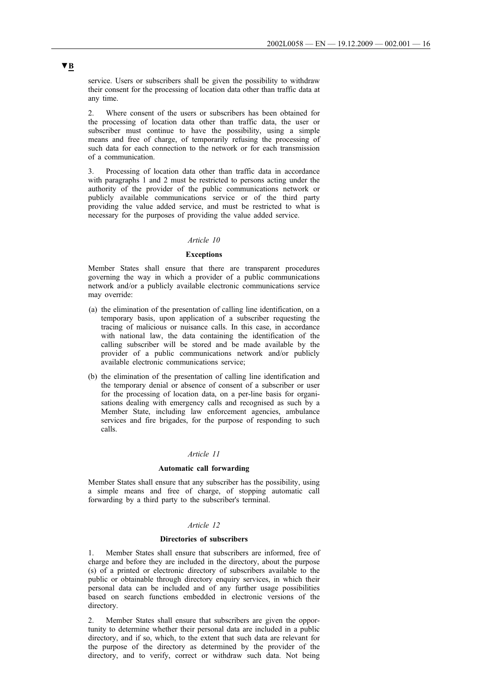service. Users or subscribers shall be given the possibility to withdraw their consent for the processing of location data other than traffic data at any time.

2. Where consent of the users or subscribers has been obtained for the processing of location data other than traffic data, the user or subscriber must continue to have the possibility, using a simple means and free of charge, of temporarily refusing the processing of such data for each connection to the network or for each transmission of a communication.

3. Processing of location data other than traffic data in accordance with paragraphs 1 and 2 must be restricted to persons acting under the authority of the provider of the public communications network or publicly available communications service or of the third party providing the value added service, and must be restricted to what is necessary for the purposes of providing the value added service.

#### *Article 10*

#### **Exceptions**

Member States shall ensure that there are transparent procedures governing the way in which a provider of a public communications network and/or a publicly available electronic communications service may override:

- (a) the elimination of the presentation of calling line identification, on a temporary basis, upon application of a subscriber requesting the tracing of malicious or nuisance calls. In this case, in accordance with national law, the data containing the identification of the calling subscriber will be stored and be made available by the provider of a public communications network and/or publicly available electronic communications service;
- (b) the elimination of the presentation of calling line identification and the temporary denial or absence of consent of a subscriber or user for the processing of location data, on a per-line basis for organisations dealing with emergency calls and recognised as such by a Member State, including law enforcement agencies, ambulance services and fire brigades, for the purpose of responding to such calls.

### *Article 11*

#### **Automatic call forwarding**

Member States shall ensure that any subscriber has the possibility, using a simple means and free of charge, of stopping automatic call forwarding by a third party to the subscriber's terminal.

### *Article 12*

#### **Directories of subscribers**

1. Member States shall ensure that subscribers are informed, free of charge and before they are included in the directory, about the purpose (s) of a printed or electronic directory of subscribers available to the public or obtainable through directory enquiry services, in which their personal data can be included and of any further usage possibilities based on search functions embedded in electronic versions of the directory.

2. Member States shall ensure that subscribers are given the opportunity to determine whether their personal data are included in a public directory, and if so, which, to the extent that such data are relevant for the purpose of the directory as determined by the provider of the directory, and to verify, correct or withdraw such data. Not being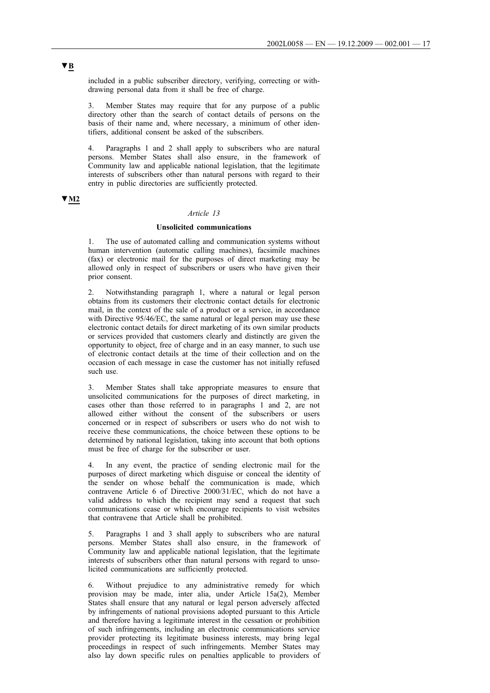included in a public subscriber directory, verifying, correcting or withdrawing personal data from it shall be free of charge.

Member States may require that for any purpose of a public directory other than the search of contact details of persons on the basis of their name and, where necessary, a minimum of other identifiers, additional consent be asked of the subscribers.

Paragraphs 1 and 2 shall apply to subscribers who are natural persons. Member States shall also ensure, in the framework of Community law and applicable national legislation, that the legitimate interests of subscribers other than natural persons with regard to their entry in public directories are sufficiently protected.

### **▼M2**

### *Article 13*

### **Unsolicited communications**

1. The use of automated calling and communication systems without human intervention (automatic calling machines), facsimile machines (fax) or electronic mail for the purposes of direct marketing may be allowed only in respect of subscribers or users who have given their prior consent.

2. Notwithstanding paragraph 1, where a natural or legal person obtains from its customers their electronic contact details for electronic mail, in the context of the sale of a product or a service, in accordance with Directive 95/46/EC, the same natural or legal person may use these electronic contact details for direct marketing of its own similar products or services provided that customers clearly and distinctly are given the opportunity to object, free of charge and in an easy manner, to such use of electronic contact details at the time of their collection and on the occasion of each message in case the customer has not initially refused such use.

3. Member States shall take appropriate measures to ensure that unsolicited communications for the purposes of direct marketing, in cases other than those referred to in paragraphs 1 and 2, are not allowed either without the consent of the subscribers or users concerned or in respect of subscribers or users who do not wish to receive these communications, the choice between these options to be determined by national legislation, taking into account that both options must be free of charge for the subscriber or user.

In any event, the practice of sending electronic mail for the purposes of direct marketing which disguise or conceal the identity of the sender on whose behalf the communication is made, which contravene Article 6 of Directive 2000/31/EC, which do not have a valid address to which the recipient may send a request that such communications cease or which encourage recipients to visit websites that contravene that Article shall be prohibited.

5. Paragraphs 1 and 3 shall apply to subscribers who are natural persons. Member States shall also ensure, in the framework of Community law and applicable national legislation, that the legitimate interests of subscribers other than natural persons with regard to unsolicited communications are sufficiently protected.

6. Without prejudice to any administrative remedy for which provision may be made, inter alia, under Article 15a(2), Member States shall ensure that any natural or legal person adversely affected by infringements of national provisions adopted pursuant to this Article and therefore having a legitimate interest in the cessation or prohibition of such infringements, including an electronic communications service provider protecting its legitimate business interests, may bring legal proceedings in respect of such infringements. Member States may also lay down specific rules on penalties applicable to providers of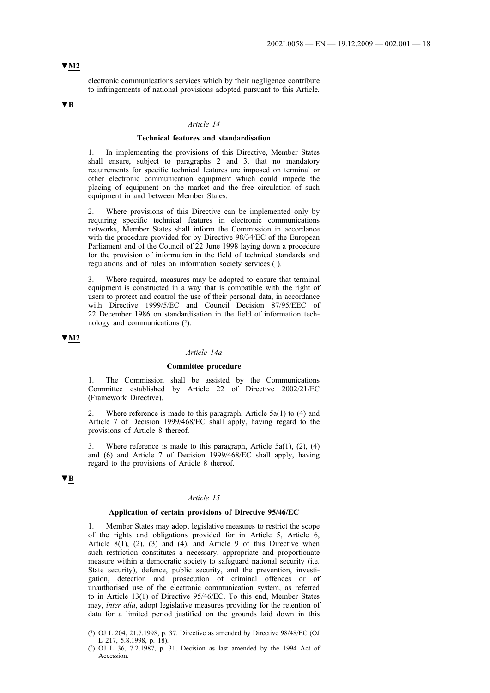electronic communications services which by their negligence contribute to infringements of national provisions adopted pursuant to this Article.

#### *Article 14*

#### **Technical features and standardisation**

1. In implementing the provisions of this Directive, Member States shall ensure, subject to paragraphs 2 and 3, that no mandatory requirements for specific technical features are imposed on terminal or other electronic communication equipment which could impede the placing of equipment on the market and the free circulation of such equipment in and between Member States.

2. Where provisions of this Directive can be implemented only by requiring specific technical features in electronic communications networks, Member States shall inform the Commission in accordance with the procedure provided for by Directive 98/34/EC of the European Parliament and of the Council of 22 June 1998 laying down a procedure for the provision of information in the field of technical standards and regulations and of rules on information society services (1).

Where required, measures may be adopted to ensure that terminal equipment is constructed in a way that is compatible with the right of users to protect and control the use of their personal data, in accordance with Directive 1999/5/EC and Council Decision 87/95/EEC of 22 December 1986 on standardisation in the field of information technology and communications  $(2)$ .

## **▼M2**

#### *Article 14a*

#### **Committee procedure**

1. The Commission shall be assisted by the Communications Committee established by Article 22 of Directive 2002/21/EC (Framework Directive).

2. Where reference is made to this paragraph, Article 5a(1) to (4) and Article 7 of Decision 1999/468/EC shall apply, having regard to the provisions of Article 8 thereof.

3. Where reference is made to this paragraph, Article 5a(1), (2), (4) and (6) and Article 7 of Decision 1999/468/EC shall apply, having regard to the provisions of Article 8 thereof.

### **▼B**

#### *Article 15*

#### **Application of certain provisions of Directive 95/46/EC**

1. Member States may adopt legislative measures to restrict the scope of the rights and obligations provided for in Article 5, Article 6, Article 8(1), (2), (3) and (4), and Article 9 of this Directive when such restriction constitutes a necessary, appropriate and proportionate measure within a democratic society to safeguard national security (i.e. State security), defence, public security, and the prevention, investigation, detection and prosecution of criminal offences or of unauthorised use of the electronic communication system, as referred to in Article 13(1) of Directive 95/46/EC. To this end, Member States may, *inter alia*, adopt legislative measures providing for the retention of data for a limited period justified on the grounds laid down in this

## **▼M2**

 $(1)$  OJ L 204, 21.7.1998, p. 37. Directive as amended by Directive 98/48/EC (OJ L 217, 5.8.1998, p. 18).

<sup>(2)</sup> OJ L 36, 7.2.1987, p. 31. Decision as last amended by the 1994 Act of Accession.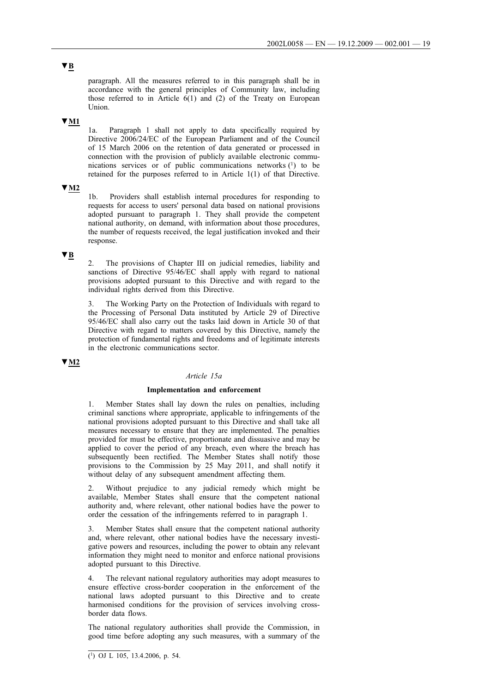**▼B**

paragraph. All the measures referred to in this paragraph shall be in accordance with the general principles of Community law, including those referred to in Article 6(1) and (2) of the Treaty on European Union.

## **▼M1**

1a. Paragraph 1 shall not apply to data specifically required by Directive 2006/24/EC of the European Parliament and of the Council of 15 March 2006 on the retention of data generated or processed in connection with the provision of publicly available electronic communications services or of public communications networks  $(1)$  to be retained for the purposes referred to in Article 1(1) of that Directive.

### **▼M2**

1b. Providers shall establish internal procedures for responding to requests for access to users' personal data based on national provisions adopted pursuant to paragraph 1. They shall provide the competent national authority, on demand, with information about those procedures, the number of requests received, the legal justification invoked and their response.

### **▼B**

2. The provisions of Chapter III on judicial remedies, liability and sanctions of Directive 95/46/EC shall apply with regard to national provisions adopted pursuant to this Directive and with regard to the individual rights derived from this Directive.

3. The Working Party on the Protection of Individuals with regard to the Processing of Personal Data instituted by Article 29 of Directive 95/46/EC shall also carry out the tasks laid down in Article 30 of that Directive with regard to matters covered by this Directive, namely the protection of fundamental rights and freedoms and of legitimate interests in the electronic communications sector.

### **▼M2**

### *Article 15a*

#### **Implementation and enforcement**

1. Member States shall lay down the rules on penalties, including criminal sanctions where appropriate, applicable to infringements of the national provisions adopted pursuant to this Directive and shall take all measures necessary to ensure that they are implemented. The penalties provided for must be effective, proportionate and dissuasive and may be applied to cover the period of any breach, even where the breach has subsequently been rectified. The Member States shall notify those provisions to the Commission by 25 May 2011, and shall notify it without delay of any subsequent amendment affecting them.

2. Without prejudice to any judicial remedy which might be available, Member States shall ensure that the competent national authority and, where relevant, other national bodies have the power to order the cessation of the infringements referred to in paragraph 1.

3. Member States shall ensure that the competent national authority and, where relevant, other national bodies have the necessary investigative powers and resources, including the power to obtain any relevant information they might need to monitor and enforce national provisions adopted pursuant to this Directive.

4. The relevant national regulatory authorities may adopt measures to ensure effective cross-border cooperation in the enforcement of the national laws adopted pursuant to this Directive and to create harmonised conditions for the provision of services involving crossborder data flows.

The national regulatory authorities shall provide the Commission, in good time before adopting any such measures, with a summary of the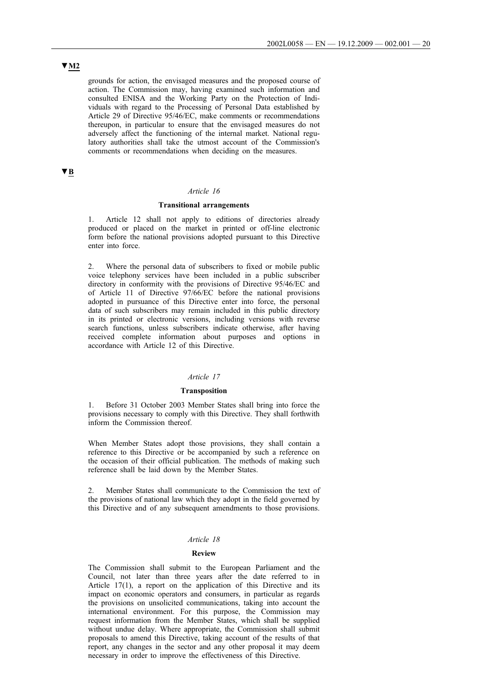## **▼M2**

grounds for action, the envisaged measures and the proposed course of action. The Commission may, having examined such information and consulted ENISA and the Working Party on the Protection of Individuals with regard to the Processing of Personal Data established by Article 29 of Directive 95/46/EC, make comments or recommendations thereupon, in particular to ensure that the envisaged measures do not adversely affect the functioning of the internal market. National regulatory authorities shall take the utmost account of the Commission's comments or recommendations when deciding on the measures.

## **▼B**

#### *Article 16*

#### **Transitional arrangements**

1. Article 12 shall not apply to editions of directories already produced or placed on the market in printed or off-line electronic form before the national provisions adopted pursuant to this Directive enter into force.

2. Where the personal data of subscribers to fixed or mobile public voice telephony services have been included in a public subscriber directory in conformity with the provisions of Directive 95/46/EC and of Article 11 of Directive 97/66/EC before the national provisions adopted in pursuance of this Directive enter into force, the personal data of such subscribers may remain included in this public directory in its printed or electronic versions, including versions with reverse search functions, unless subscribers indicate otherwise, after having received complete information about purposes and options in accordance with Article 12 of this Directive.

#### *Article 17*

#### **Transposition**

1. Before 31 October 2003 Member States shall bring into force the provisions necessary to comply with this Directive. They shall forthwith inform the Commission thereof.

When Member States adopt those provisions, they shall contain a reference to this Directive or be accompanied by such a reference on the occasion of their official publication. The methods of making such reference shall be laid down by the Member States.

2. Member States shall communicate to the Commission the text of the provisions of national law which they adopt in the field governed by this Directive and of any subsequent amendments to those provisions.

#### *Article 18*

#### **Review**

The Commission shall submit to the European Parliament and the Council, not later than three years after the date referred to in Article 17(1), a report on the application of this Directive and its impact on economic operators and consumers, in particular as regards the provisions on unsolicited communications, taking into account the international environment. For this purpose, the Commission may request information from the Member States, which shall be supplied without undue delay. Where appropriate, the Commission shall submit proposals to amend this Directive, taking account of the results of that report, any changes in the sector and any other proposal it may deem necessary in order to improve the effectiveness of this Directive.